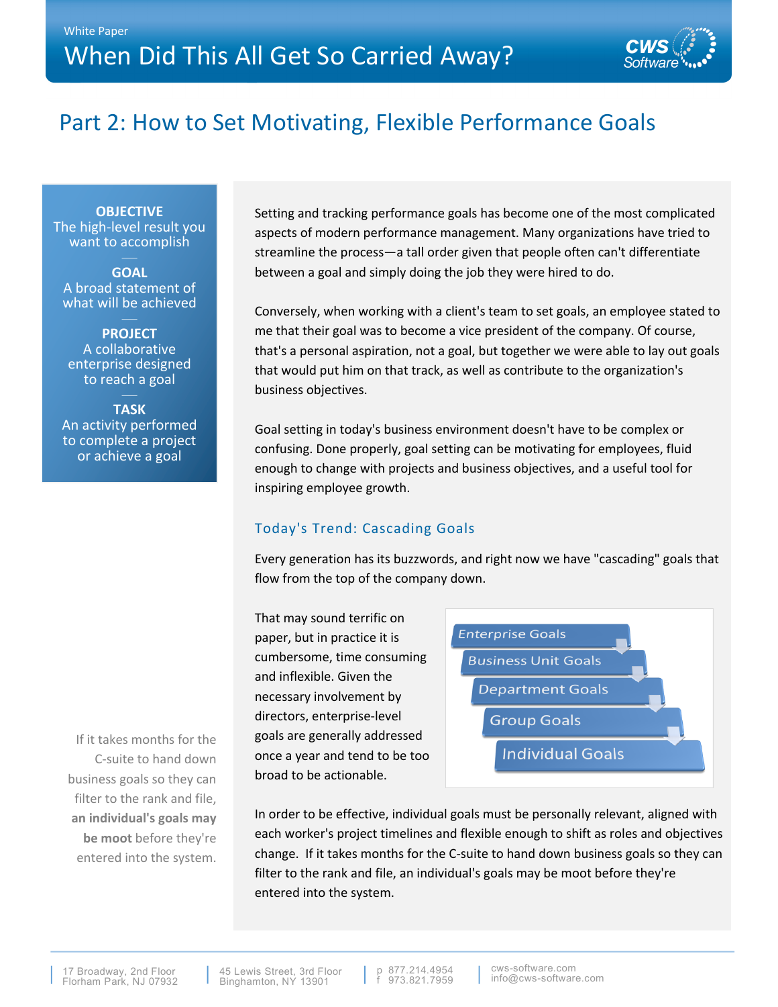

# Part 2: How to Set Motivating, Flexible Performance Goals

**OBJECTIVE** The high-level result you want to accomplish

**GOAL** A broad statement of what will be achieved

**PROJECT** A collaborative enterprise designed to reach a goal

**TASK** An activity performed to complete a project or achieve a goal

Setting and tracking performance goals has become one of the most complicated aspects of modern performance management. Many organizations have tried to streamline the process—a tall order given that people often can't differentiate between a goal and simply doing the job they were hired to do.

Conversely, when working with a client's team to set goals, an employee stated to me that their goal was to become a vice president of the company. Of course, that's a personal aspiration, not a goal, but together we were able to lay out goals that would put him on that track, as well as contribute to the organization's business objectives.

Goal setting in today's business environment doesn't have to be complex or confusing. Done properly, goal setting can be motivating for employees, fluid enough to change with projects and business objectives, and a useful tool for inspiring employee growth.

## Today's Trend: Cascading Goals

Every generation has its buzzwords, and right now we have "cascading" goals that flow from the top of the company down.

That may sound terrific on paper, but in practice it is cumbersome, time consuming and inflexible. Given the necessary involvement by directors, enterprise-level goals are generally addressed once a year and tend to be too broad to be actionable.



In order to be effective, individual goals must be personally relevant, aligned with each worker's project timelines and flexible enough to shift as roles and objectives change. If it takes months for the C-suite to hand down business goals so they can filter to the rank and file, an individual's goals may be moot before they're entered into the system.

If it takes months for the C-suite to hand down business goals so they can filter to the rank and file, **an individual's goals may be moot** before they're entered into the system.

17 Broadway, 2nd Floor Florham Park, NJ 07932 45 Lewis Street. 3rd Floor Binghamton, NY 13901

973.821.7959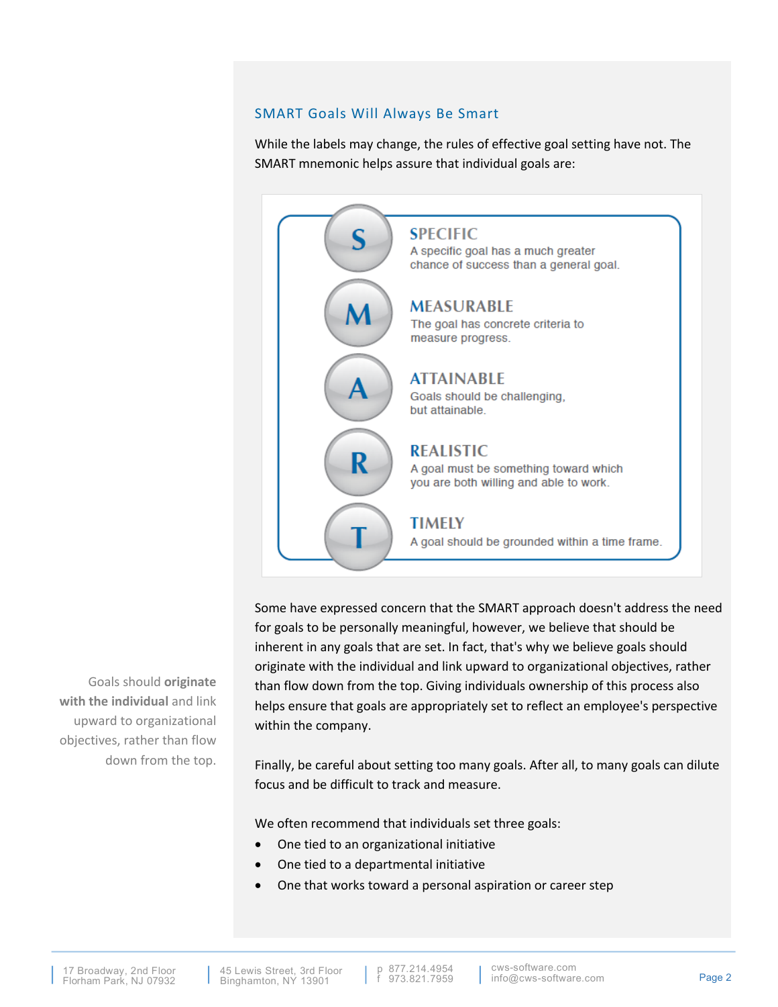### SMART Goals Will Always Be Smart

While the labels may change, the rules of effective goal setting have not. The SMART mnemonic helps assure that individual goals are:



Some have expressed concern that the SMART approach doesn't address the need for goals to be personally meaningful, however, we believe that should be inherent in any goals that are set. In fact, that's why we believe goals should originate with the individual and link upward to organizational objectives, rather than flow down from the top. Giving individuals ownership of this process also helps ensure that goals are appropriately set to reflect an employee's perspective within the company.

Finally, be careful about setting too many goals. After all, to many goals can dilute focus and be difficult to track and measure.

We often recommend that individuals set three goals:

- One tied to an organizational initiative
- One tied to a departmental initiative
- One that works toward a personal aspiration or career step

Goals should **originate with the individual** and link upward to organizational objectives, rather than flow down from the top.

p 877.214.4954<br>f 973.821.7959